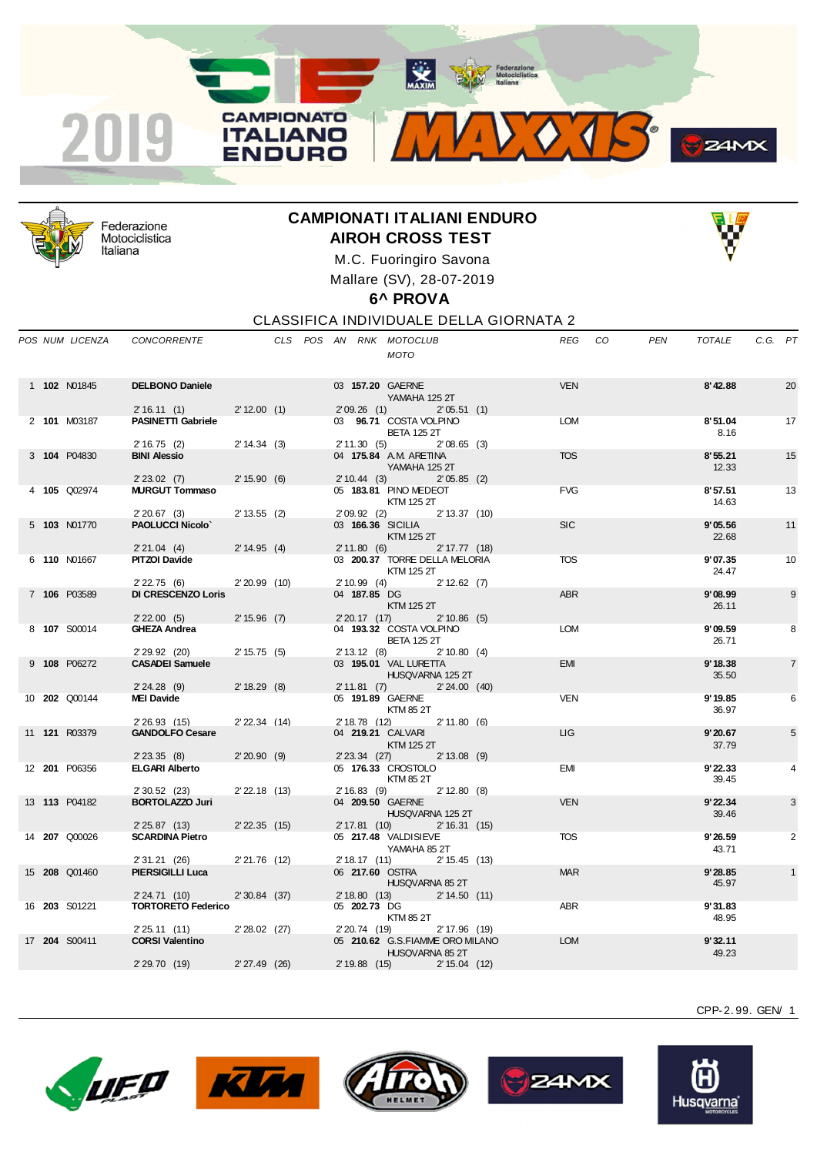



Federazione Motociclistica Italiana

## **CAMPIONATI ITALIANI ENDURO AIROH CROSS TEST**



M.C. Fuoringiro Savona Mallare (SV), 28-07-2019

## **6^ PROVA**

CLASSIFICA INDIVIDUALE DELLA GIORNATA 2

|  | POS NUM LICENZA      | <b>CONCORRENTE</b>                       |                   |  |                               | CLS POS AN RNK MOTOCLUB<br><b>MOTO</b>                              | REG CO     | PEN | TOTALE           | C.G. PT |                |
|--|----------------------|------------------------------------------|-------------------|--|-------------------------------|---------------------------------------------------------------------|------------|-----|------------------|---------|----------------|
|  | 1 102 N01845         | <b>DELBONO Daniele</b><br>2'16.11(1)     | 2' 12.00 (1)      |  | 2'09.26(1)                    | 03 157.20 GAERNE<br>YAMAHA 125 2T<br>2'05.51(1)                     | <b>VEN</b> |     | 8'42.88          |         | 20             |
|  | 2 101 M03187         | <b>PASINETTI Gabriele</b>                |                   |  |                               | 03 96.71 COSTA VOLPINO<br><b>BETA 125 2T</b>                        | LOM        |     | 8'51.04<br>8.16  |         | 17             |
|  | 3 104 P04830         | 2'16.75(2)<br><b>BINI Alessio</b>        | 2' 14.34 (3)      |  | 2'11.30(5)                    | $2'08.65$ (3)<br>04 175.84 A.M. ARETINA<br>YAMAHA 125 2T            | <b>TOS</b> |     | 8'55.21<br>12.33 |         | 15             |
|  | 4 105 Q02974         | $2' 23.02$ (7)<br><b>MURGUT Tommaso</b>  | 2' 15.90 (6)      |  | 2'10.44(3)                    | 2'05.85(2)<br>05 183.81 PINO MEDEOT<br>KTM 125 2T                   | <b>FVG</b> |     | 8'57.51<br>14.63 |         | 13             |
|  | 5 103 N01770         | 2'20.67(3)<br><b>PAOLUCCI Nicolo'</b>    | $2' 13.55$ (2)    |  | 2'09.92(2)                    | 2' 13.37 (10)<br>03 166.36 SICILIA<br><b>KTM 125 2T</b>             | <b>SIC</b> |     | 9'05.56<br>22.68 |         | 11             |
|  | 6 110 N01667         | 2'21.04(4)<br><b>PITZOI Davide</b>       | 2' 14.95 (4)      |  | 2'11.80(6)                    | $2' 17.77$ (18)<br>03 200.37 TORRE DELLA MELORIA<br>KTM 125 2T      | <b>TOS</b> |     | 9'07.35<br>24.47 |         | 10             |
|  | 7 106 P03589         | 2'22.75(6)<br><b>DI CRESCENZO Loris</b>  | $2'20.99$ (10)    |  | 2'10.99(4)<br>04 187.85 DG    | 2' 12.62 (7)<br>KTM 125 2T                                          | <b>ABR</b> |     | 9'08.99<br>26.11 |         | 9              |
|  | 8 107 S00014         | 2'22.00(5)<br><b>GHEZA Andrea</b>        | 2' 15.96 (7)      |  | 2'20.17(17)                   | $2' 10.86$ (5)<br>04 193.32 COSTA VOLPINO<br><b>BETA 125 2T</b>     | <b>LOM</b> |     | 9'09.59<br>26.71 |         | 8              |
|  | 9 108 P06272         | 2' 29.92 (20)<br><b>CASADEI Samuele</b>  | $2' 15.75$ (5)    |  | 2' 13.12(8)                   | $2' 10.80$ (4)<br>03 195.01 VAL LURETTA<br>HUSQVARNA 125 2T         | <b>EMI</b> |     | 9'18.38<br>35.50 |         | $\overline{7}$ |
|  | 10 <b>202</b> Q00144 | 2'24.28(9)<br><b>MEI Davide</b>          | $2' 18.29$ (8)    |  | 2'11.81(7)                    | 2' 24.00 (40)<br>05 191.89 GAERNE<br>KTM 85 2T                      | <b>VEN</b> |     | 9'19.85<br>36.97 |         | 6              |
|  | 11 <b>121</b> R03379 | 2' 26.93 (15)<br><b>GANDOLFO Cesare</b>  | $2'$ 22.34 $(14)$ |  | 2' 18.78 (12)                 | $2' 11.80$ (6)<br>04 219.21 CALVARI<br>KTM 125 2T                   | LIG        |     | 9'20.67<br>37.79 |         | 5              |
|  | 12 201 P06356        | $2'$ 23.35 (8)<br><b>ELGARI Alberto</b>  | 2'20.90(9)        |  | $2'23.34$ (27)                | $2' 13.08$ (9)<br>05 176.33 CROSTOLO<br>KTM 85 2T                   | <b>EMI</b> |     | 9'22.33<br>39.45 |         | 4              |
|  | 13 113 P04182        | 2' 30.52 (23)<br><b>BORTOLAZZO Juri</b>  | $2' 22.18$ (13)   |  | 2'16.83(9)                    | $2' 12.80$ (8)<br>04 209.50 GAERNE<br>HUSQVARNA 125 2T              | <b>VEN</b> |     | 9'22.34<br>39.46 |         | 3              |
|  | 14 207 Q00026        | 2'25.87(13)<br><b>SCARDINA Pietro</b>    | $2'$ 22.35 (15)   |  | 2'17.81(10)                   | 2' 16.31 (15)<br>05 217.48 VALDISIEVE<br>YAMAHA 85 2T               | <b>TOS</b> |     | 9'26.59<br>43.71 |         | 2              |
|  | 15 208 Q01460        | 2' 31.21 (26)<br><b>PIERSIGILLI Luca</b> | $2'21.76$ (12)    |  | 2'18.17(11)                   | 2' 15.45 (13)<br>06 217,60 OSTRA<br>HUSQVARNA 85 2T                 | <b>MAR</b> |     | 9'28.85<br>45.97 |         | $\mathbf{1}$   |
|  | 16 203 S01221        | 2'24.71(10)<br><b>TORTORETO Federico</b> | 2'30.84(37)       |  | 2' 18.80 (13)<br>05 202.73 DG | 2' 14.50 (11)<br>KTM 85 2T                                          | <b>ABR</b> |     | 9'31.83<br>48.95 |         |                |
|  | 17 204 S00411        | 2'25.11(11)<br><b>CORSI Valentino</b>    | $2'28.02$ (27)    |  | 2' 20.74 (19)                 | 2' 17.96 (19)<br>05 210.62 G.S.FIAMME ORO MILANO<br>HUSQVARNA 85 2T | <b>LOM</b> |     | 9'32.11<br>49.23 |         |                |
|  |                      | 2' 29.70 (19)                            | $2' 27.49$ (26)   |  |                               | 2' 19.88 (15)<br>2' 15.04 (12)                                      |            |     |                  |         |                |









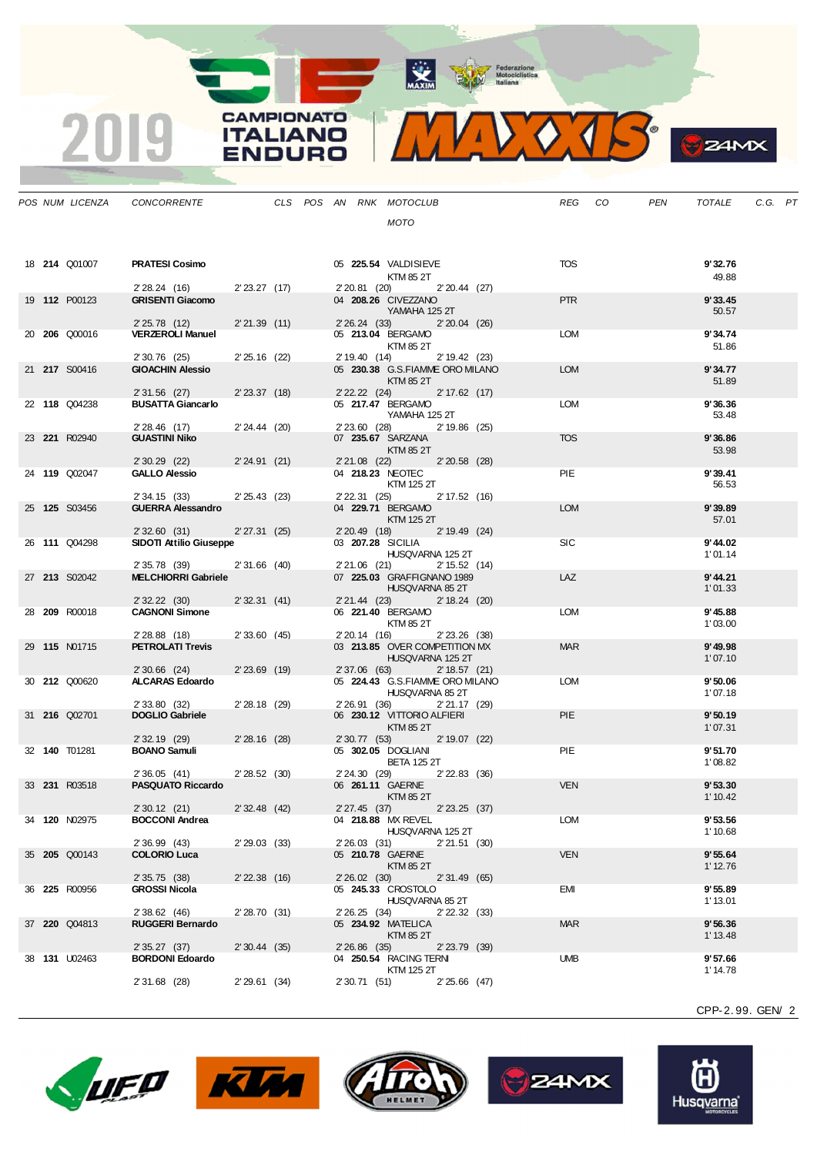MAXIM BOOR Motociclistica

**CAMPIONATO** 

**ITALIANO** 

**ENDURO** 

2019

VOTS.  $\mathbf{V}$ 

|  | POS NUM LICENZA      | CONCORRENTE                                |                 |  |                | CLS POS AN RNK MOTOCLUB                               |  | REG CO     | PEN | TOTALE              | C.G. PT |  |
|--|----------------------|--------------------------------------------|-----------------|--|----------------|-------------------------------------------------------|--|------------|-----|---------------------|---------|--|
|  |                      |                                            |                 |  |                | MOTO                                                  |  |            |     |                     |         |  |
|  |                      |                                            |                 |  |                |                                                       |  |            |     |                     |         |  |
|  | 18 <b>214 Q01007</b> | <b>PRATESI Cosimo</b>                      |                 |  |                | 05 225.54 VALDISIEVE                                  |  | TOS        |     | 9'32.76             |         |  |
|  |                      |                                            |                 |  |                | KTM 85 2T                                             |  |            |     | 49.88               |         |  |
|  |                      | 2'28.24 (16) 2'23.27 (17)                  |                 |  | 2' 20.81 (20)  | $2'20.44$ (27)                                        |  |            |     |                     |         |  |
|  | 19 112 P00123        | <b>GRISENTI Giacomo</b>                    |                 |  |                | 04 208.26 CIVEZZANO<br>YAMAHA 125 2T                  |  | <b>PTR</b> |     | 9'33.45<br>50.57    |         |  |
|  |                      | 2'25.78(12)                                | 2'21.39(11)     |  |                | 2' 26.24 (33) 2' 20.04 (26)                           |  |            |     |                     |         |  |
|  | 20 206 Q00016        | <b>VERZEROLI Manuel</b>                    |                 |  |                | 05 213.04 BERGAMO                                     |  | <b>LOM</b> |     | 9'34.74             |         |  |
|  |                      | 2' 30.76 (25)                              | $2'25.16$ (22)  |  | 2' 19.40 (14)  | KTM 85 2T<br>2' 19.42 (23)                            |  |            |     | 51.86               |         |  |
|  | 21 217 S00416        | <b>GIOACHIN Alessio</b>                    |                 |  |                | 05 230.38 G.S.FIAMME ORO MILANO                       |  | <b>LOM</b> |     | 9'34.77             |         |  |
|  |                      |                                            |                 |  |                | KTM 85 2T                                             |  |            |     | 51.89               |         |  |
|  | 22 118 Q04238        | $2'31.56$ (27)<br><b>BUSATTA Giancarlo</b> | 2'23.37(18)     |  |                | 2' 22. 22 (24) 2' 17.62 (17)<br>05 217.47 BERGAMO     |  | LOM        |     | 9'36.36             |         |  |
|  |                      |                                            |                 |  |                | YAMAHA 125 2T                                         |  |            |     | 53.48               |         |  |
|  | 23 221 R02940        | $2'28.46$ (17)<br><b>GUASTINI Niko</b>     | $2' 24.44$ (20) |  |                | 2' 23.60 (28) 2' 19.86 (25)<br>07 235.67 SARZANA      |  | <b>TOS</b> |     | 9'36.86             |         |  |
|  |                      |                                            |                 |  |                | KTM 85 2T                                             |  |            |     | 53.98               |         |  |
|  |                      | $2'30.29$ (22)                             | 2'24.91(21)     |  |                | 2'21.08 (22) 2'20.58 (28)                             |  |            |     |                     |         |  |
|  | 24 119 Q02047        | <b>GALLO Alessio</b>                       |                 |  |                | 04 218.23 NEOTEC<br>KTM 125 2T                        |  | <b>PIE</b> |     | 9'39.41<br>56.53    |         |  |
|  |                      | 2' 34.15 (33)                              | 2'25.43(23)     |  |                | 2' 22.31 (25) 2' 17.52 (16)                           |  |            |     |                     |         |  |
|  | 25 125 S03456        | <b>GUERRA Alessandro</b>                   |                 |  |                | 04 229.71 BERGAMO                                     |  | <b>LOM</b> |     | 9'39.89             |         |  |
|  |                      | 2'32.60(31)                                | 2'27.31(25)     |  |                | KTM 125 2T<br>2' 19.49 (24)<br>2'20.49(18)            |  |            |     | 57.01               |         |  |
|  | 26 111 Q04298        | SIDOTI Attilio Giuseppe                    |                 |  |                | 03 207.28 SICILIA                                     |  | <b>SIC</b> |     | 9' 44.02            |         |  |
|  |                      | 2' 35.78 (39)                              | $2'31.66$ (40)  |  |                | HUSQVARNA 125 2T<br>2'21.06 (21)<br>2' 15.52 (14)     |  |            |     | 1'01.14             |         |  |
|  | 27 213 S02042        | <b>MELCHIORRI Gabriele</b>                 |                 |  |                | 07 225.03 GRAFFIGNANO 1989                            |  | LAZ        |     | 9' 44.21            |         |  |
|  |                      |                                            |                 |  |                | HUSQVARNA 85 2T                                       |  |            |     | 1'01.33             |         |  |
|  | 28 209 R00018        | 2' 32.22 (30)<br><b>CAGNONI Simone</b>     | 2'32.31(41)     |  |                | 2' 21.44 (23)<br>$2' 18.24$ (20)<br>06 221.40 BERGAMO |  | LOM        |     | 9' 45.88            |         |  |
|  |                      |                                            |                 |  |                | KTM 85 2T                                             |  |            |     | 1'03.00             |         |  |
|  |                      | $2'28.88$ (18)                             | 2'33.60(45)     |  | 2' 20.14 (16)  | 2'23.26 (38)                                          |  | <b>MAR</b> |     |                     |         |  |
|  | 29 115 N01715        | <b>PETROLATI Trevis</b>                    |                 |  |                | 03 213.85 OVER COMPETITION MX<br>HUSQVARNA 125 2T     |  |            |     | 9'49.98<br>1'07.10  |         |  |
|  |                      | $2'30.66$ (24)                             | $2'23.69$ (19)  |  | 2' 37.06 (63)  | 2' 18.57 (21)                                         |  |            |     |                     |         |  |
|  | 30 <b>212</b> Q00620 | ALCARAS Edoardo                            |                 |  |                | 05 224.43 G.S.FIAMME ORO MILANO<br>HUSQVARNA 85 2T    |  | <b>LOM</b> |     | 9'50.06<br>1'07.18  |         |  |
|  |                      | 2' 33.80 (32)                              | $2'28.18$ (29)  |  | 2' 26.91 (36)  | 2'21.17(29)                                           |  |            |     |                     |         |  |
|  | 31 216 Q02701        | <b>DOGLIO Gabriele</b>                     |                 |  |                | 06 230.12 VITTORIO ALFIERI                            |  | <b>PIE</b> |     | 9'50.19             |         |  |
|  |                      | 2' 32.19 (29)                              | $2'28.16$ (28)  |  |                | KTM 85 2T<br>2' 30.77 (53) 2' 19.07 (22)              |  |            |     | 1'07.31             |         |  |
|  | 32 140 T01281        | <b>BOANO Samuli</b>                        |                 |  |                | 05 302.05 DOGLIANI                                    |  | <b>PIE</b> |     | 9'51.70             |         |  |
|  |                      |                                            |                 |  |                | <b>BETA 125 2T</b>                                    |  |            |     | 1'08.82             |         |  |
|  | 33 231 R03518        | 2'36.05(41)<br><b>PASQUATO Riccardo</b>    | 2'28.52(30)     |  |                | 2' 24.30 (29) 2' 22.83 (36)<br>06 261.11 GAERNE       |  | <b>VEN</b> |     | 9'53.30             |         |  |
|  |                      |                                            |                 |  |                | KTM 85 2T                                             |  |            |     | 1' 10.42            |         |  |
|  | 34 120 NO2975        | 2' 30.12 (21)<br><b>BOCCONI Andrea</b>     | $2'32.48$ (42)  |  | 2' 27.45 (37)  | $2'$ 23.25 (37)<br>04 218.88 MX REVEL                 |  | <b>LOM</b> |     | 9'53.56             |         |  |
|  |                      |                                            |                 |  |                | HUSQVARNA 125 2T                                      |  |            |     | 1' 10.68            |         |  |
|  |                      | 2' 36.99 (43)                              | 2'29.03(33)     |  | 2'26.03(31)    | 2'21.51(30)                                           |  |            |     |                     |         |  |
|  | 35 205 Q00143        | <b>COLORIO Luca</b>                        |                 |  |                | 05 210.78 GAERNE<br>KTM 85 2T                         |  | <b>VEN</b> |     | 9'55.64<br>1' 12.76 |         |  |
|  |                      | 2' 35.75 (38)                              | $2'$ 22.38 (16) |  | $2'26.02$ (30) | 2'31.49(65)                                           |  |            |     |                     |         |  |
|  | 36 225 R00956        | <b>GROSSI Nicola</b>                       |                 |  |                | 05 245.33 CROSTOLO<br>HUSQVARNA 85 2T                 |  | EMI        |     | 9'55.89<br>1'13.01  |         |  |
|  |                      | 2' 38.62 (46)                              | 2' 28.70 (31)   |  | 2'26.25(34)    | 2' 22.32 (33)                                         |  |            |     |                     |         |  |
|  | 37 220 Q04813        | <b>RUGGERI Bernardo</b>                    |                 |  |                | 05 234.92 MATELICA                                    |  | <b>MAR</b> |     | 9'56.36             |         |  |
|  |                      | 2' 35.27 (37)                              | $2'30.44$ (35)  |  | $2'26.86$ (35) | <b>KTM 85 2T</b><br>$2'$ 23.79 (39)                   |  |            |     | 1' 13.48            |         |  |
|  | 38 <b>131</b> U02463 | <b>BORDONI Edoardo</b>                     |                 |  |                | 04 250.54 RACING TERNI                                |  | <b>UMB</b> |     | 9'57.66             |         |  |
|  |                      |                                            |                 |  |                | KTM 125 2T                                            |  |            |     | 1'14.78             |         |  |
|  |                      | 2' 31.68 (28)                              | 2'29.61(34)     |  | 2' 30.71 (51)  | $2'25.66$ (47)                                        |  |            |     |                     |         |  |

CPP-2. 99. GEN/ 2

**S**ZAMX









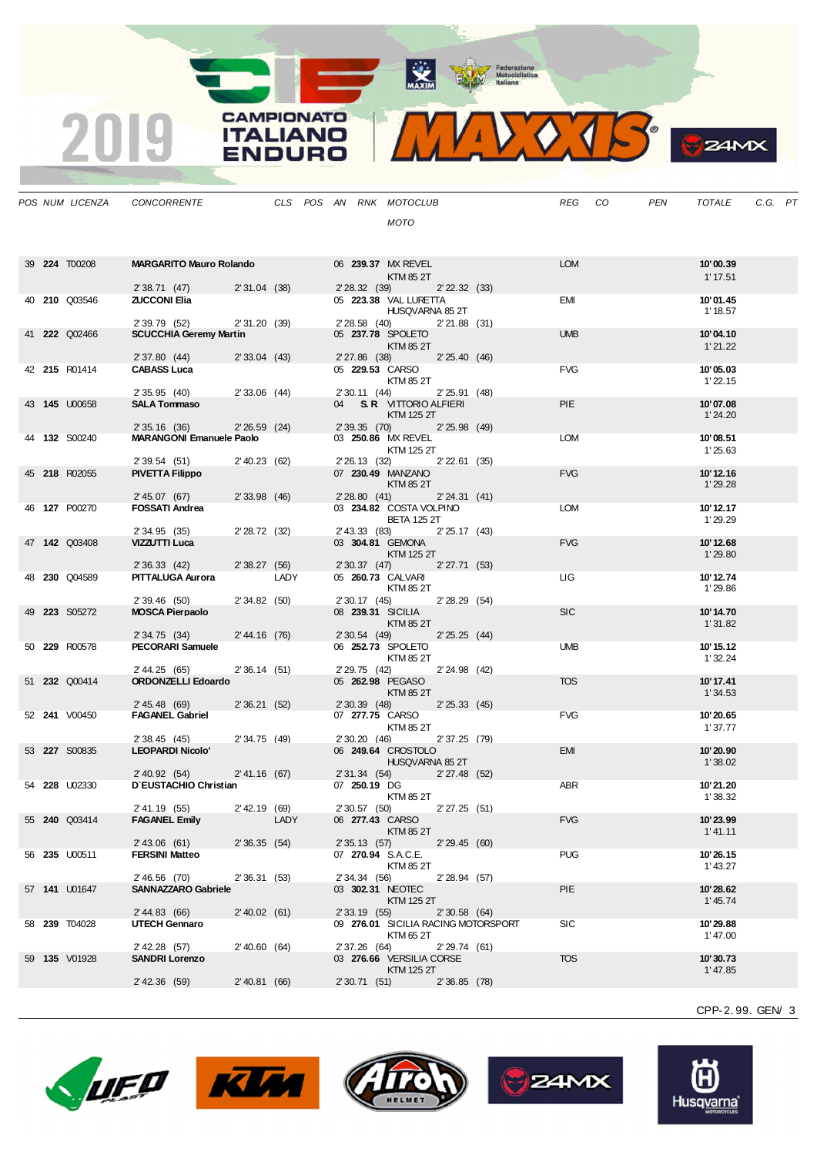MAXIM Pederazione

MIDOJS

**B**Z4MX

|  | POS NUM LICENZA      | CONCORRENTE                                      |                 |      |  |               | CLS POS AN RNK MOTOCLUB                                 |                   |                                     | REG CO     | PEN | TOTALE               | C.G. PT |  |
|--|----------------------|--------------------------------------------------|-----------------|------|--|---------------|---------------------------------------------------------|-------------------|-------------------------------------|------------|-----|----------------------|---------|--|
|  |                      |                                                  |                 |      |  |               | <b>MOTO</b>                                             |                   |                                     |            |     |                      |         |  |
|  |                      |                                                  |                 |      |  |               |                                                         |                   |                                     |            |     |                      |         |  |
|  |                      |                                                  |                 |      |  |               |                                                         |                   |                                     |            |     |                      |         |  |
|  | 39 <b>224 T00208</b> | <b>MARGARITO Mauro Rolando</b>                   |                 |      |  |               | 06 239.37 MX REVEL<br>KTM 85 2T                         |                   |                                     | <b>LOM</b> |     | 10'00.39<br>1' 17.51 |         |  |
|  |                      | 2' 38.71 (47) 2' 31.04 (38)                      |                 |      |  | 2' 28.32 (39) |                                                         | $2'$ 22.32 $(33)$ |                                     |            |     |                      |         |  |
|  | 40 210 Q03546        | <b>ZUCCONI Elia</b>                              |                 |      |  |               | 05 223.38 VAL LURETTA<br>HUSQVARNA 85 2T                |                   |                                     | EMI        |     | 10'01.45<br>1' 18.57 |         |  |
|  |                      | 2' 39.79 (52)                                    | 2'31.20(39)     |      |  |               | 2'28.58 (40) 2'21.88 (31)                               |                   |                                     |            |     |                      |         |  |
|  | 41 <b>222</b> Q02466 | <b>SCUCCHIA Geremy Martin</b>                    |                 |      |  |               | 05 237.78 SPOLETO                                       |                   |                                     | <b>UMB</b> |     | 10'04.10             |         |  |
|  |                      | 2'37.80(44)                                      | $2'33.04$ (43)  |      |  |               | KTM 85 2T<br>2' 27.86 (38) 2' 25.40 (46)                |                   |                                     |            |     | 1'21.22              |         |  |
|  | 42 215 R01414        | <b>CABASS Luca</b>                               |                 |      |  |               | 05 229.53 CARSO                                         |                   |                                     | <b>FVG</b> |     | 10'05.03             |         |  |
|  |                      |                                                  |                 |      |  |               | KTM 85 2T                                               |                   |                                     |            |     | 1'22.15              |         |  |
|  | 43 145 U00658        | 2'35.95(40)<br><b>SALA Tommaso</b>               | $2'33.06$ (44)  |      |  |               | 2' 30.11 (44) 2' 25.91 (48)<br>04 S.R. VITTORIO ALFIERI |                   |                                     | <b>PIE</b> |     | 10'07.08             |         |  |
|  |                      |                                                  |                 |      |  |               | KTM 125 2T                                              |                   |                                     |            |     | 1'24.20              |         |  |
|  | 44 <b>132</b> S00240 | 2' 35.16 (36)<br><b>MARANGONI Emanuele Paolo</b> | $2'26.59$ (24)  |      |  |               | 2' 39.35 (70) 2' 25.98 (49)<br>03 250.86 MX REVEL       |                   |                                     | LOM        |     | 10'08.51             |         |  |
|  |                      |                                                  |                 |      |  |               | KTM 125 2T                                              |                   |                                     |            |     | 1'25.63              |         |  |
|  |                      | 2' 39.54 (51) 2' 40.23 (62)                      |                 |      |  |               | 2' 26.13 (32) 2' 22.61 (35)                             |                   |                                     |            |     |                      |         |  |
|  | 45 218 R02055        | <b>PIVETTA Filippo</b>                           |                 |      |  |               | 07 230.49 MANZANO<br>KTM 85 2T                          |                   |                                     | <b>FVG</b> |     | 10'12.16<br>1'29.28  |         |  |
|  |                      | 2' 45.07 (67) 2' 33.98 (46)                      |                 |      |  |               | 2' 28.80 (41) 2' 24.31 (41)                             |                   |                                     |            |     |                      |         |  |
|  | 46 <b>127</b> P00270 | <b>FOSSATI Andrea</b>                            |                 |      |  |               | 03 234.82 COSTA VOLPINO                                 |                   |                                     | <b>LOM</b> |     | 10' 12.17            |         |  |
|  |                      | 2' 34.95 (35)                                    | 2'28.72(32)     |      |  | 2' 43.33 (83) | <b>BETA 125 2T</b>                                      | 2' 25.17 (43)     |                                     |            |     | 1'29.29              |         |  |
|  | 47 142 Q03408        | VIZZUTTI Luca                                    |                 |      |  |               | 03 304.81 GEMONA                                        |                   |                                     | <b>FVG</b> |     | 10'12.68             |         |  |
|  |                      | 2' 36.33 (42)                                    | 2'38.27 (56)    |      |  |               | KTM 125 2T                                              | 2' 27.71 (53)     |                                     |            |     | 1'29.80              |         |  |
|  | 48 230 Q04589        | PITTALUGA Aurora                                 |                 | LADY |  | 2' 30.37 (47) | 05 260.73 CALVARI                                       |                   |                                     | LIG.       |     | 10' 12.74            |         |  |
|  |                      |                                                  |                 |      |  |               | KTM 85 2T                                               |                   |                                     |            |     | 1'29.86              |         |  |
|  | 49 223 S05272        | 2' 39.46 (50)<br><b>MOSCA Pierpaolo</b>          | 2'34.82(50)     |      |  | 2' 30.17 (45) | 08 239.31 SICILIA                                       | 2'28.29(54)       |                                     | <b>SIC</b> |     | 10'14.70             |         |  |
|  |                      |                                                  |                 |      |  |               | KTM 85 2T                                               |                   |                                     |            |     | 1'31.82              |         |  |
|  | 50 229 R00578        | 2'34.75(34)<br>PECORARI Samuele                  | 2' 44.16 (76)   |      |  | 2' 30.54 (49) | 06 252.73 SPOLETO                                       | 2'25.25(44)       |                                     | <b>UMB</b> |     | 10' 15.12            |         |  |
|  |                      |                                                  |                 |      |  |               | KTM 85 2T                                               |                   |                                     |            |     | 1'32.24              |         |  |
|  |                      | 2' 44.25 (65)                                    | 2'36.14(51)     |      |  | 2' 29.75 (42) |                                                         | 2'24.98 (42)      |                                     |            |     |                      |         |  |
|  | 51 232 Q00414        | <b>ORDONZELLI Edoardo</b>                        |                 |      |  |               | 05 262.98 PEGASO<br>KTM 85 2T                           |                   |                                     | <b>TOS</b> |     | 10' 17.41<br>1'34.53 |         |  |
|  |                      | 2' 45.48 (69)                                    | 2'36.21(52)     |      |  |               | 2' 30.39 (48) 2' 25.33 (45)                             |                   |                                     |            |     |                      |         |  |
|  | 52 <b>241</b> V00450 | <b>FAGANEL Gabriel</b>                           |                 |      |  |               | 07 277.75 CARSO                                         |                   |                                     | <b>FVG</b> |     | 10'20.65             |         |  |
|  |                      | 2' 38.45 (45)                                    | 2'34.75 (49)    |      |  |               | KTM 85 2T<br>2' 30.20 (46)                              | 2' 37.25 (79)     |                                     |            |     | 1'37.77              |         |  |
|  | 53 <b>227</b> S00835 | <b>LEOPARDI Nicolo'</b>                          |                 |      |  |               | 06 249.64 CROSTOLO                                      |                   |                                     | <b>EMI</b> |     | 10'20.90             |         |  |
|  |                      | 2' 40.92 (54)                                    | 2' 41.16 (67)   |      |  |               | HUSQVARNA 85 2T<br>2' 31.34 (54)                        | $2'27.48$ (52)    |                                     |            |     | 1'38.02              |         |  |
|  | 54 <b>228</b> U02330 | D'EUSTACHIO Christian                            |                 |      |  | 07 250.19 DG  |                                                         |                   |                                     | ABR        |     | 10'21.20             |         |  |
|  |                      |                                                  | $2'$ 42.19 (69) |      |  |               | KTM 85 2T                                               |                   |                                     |            |     | 1'38.32              |         |  |
|  | 55 <b>240</b> Q03414 | 2' 41.19 (55)<br><b>FAGANEL Emily</b>            |                 | LADY |  |               | 2'30.57 (50) 2'27.25 (51)<br>06 277.43 CARSO            |                   |                                     | <b>FVG</b> |     | 10'23.99             |         |  |
|  |                      |                                                  |                 |      |  |               | KTM 85 2T                                               |                   |                                     |            |     | 1' 41.11             |         |  |
|  | 56 235 U00511        | 2' 43.06 (61)<br><b>FERSINI Matteo</b>           | 2'36.35(54)     |      |  | 2' 35.13 (57) | 07 270.94 S.A.C.E.                                      | 2'29.45(60)       |                                     | <b>PUG</b> |     | 10'26.15             |         |  |
|  |                      |                                                  |                 |      |  |               | KTM 85 2T                                               |                   |                                     |            |     | 1' 43.27             |         |  |
|  |                      | 2' 46.56 (70)                                    | 2'36.31(53)     |      |  | 2' 34.34 (56) |                                                         | 2' 28.94 (57)     |                                     |            |     |                      |         |  |
|  | 57 141 U01647        | <b>SANNAZZARO Gabriele</b>                       |                 |      |  |               | 03 302.31 NEOTEC<br>KTM 125 2T                          |                   |                                     | <b>PIE</b> |     | 10'28.62<br>1' 45.74 |         |  |
|  |                      | 2' 44.83 (66)                                    | $2'$ 40.02 (61) |      |  | 2' 33.19 (55) |                                                         | 2'30.58(64)       |                                     |            |     |                      |         |  |
|  | 58 239 T04028        | <b>UTECH Gennaro</b>                             |                 |      |  |               | KTM 65 2T                                               |                   | 09 276.01 SICILIA RACING MOTORSPORT | <b>SIC</b> |     | 10'29.88             |         |  |
|  |                      | 2' 42.28 (57)                                    | $2'$ 40.60 (64) |      |  | 2' 37.26 (64) |                                                         | 2'29.74(61)       |                                     |            |     | 1'47.00              |         |  |
|  | 59 <b>135</b> V01928 | <b>SANDRI Lorenzo</b>                            |                 |      |  |               | 03 276.66 VERSILIA CORSE                                |                   |                                     | <b>TOS</b> |     | 10'30.73             |         |  |
|  |                      | 2' 42.36 (59)                                    | 2'40.81(66)     |      |  |               | KTM 125 2T<br>2' 30.71 (51)                             | 2'36.85(78)       |                                     |            |     | 1'47.85              |         |  |
|  |                      |                                                  |                 |      |  |               |                                                         |                   |                                     |            |     |                      |         |  |

**CAMPIONATO** 

**ITALIANO** 

**ENDURO** 

2019









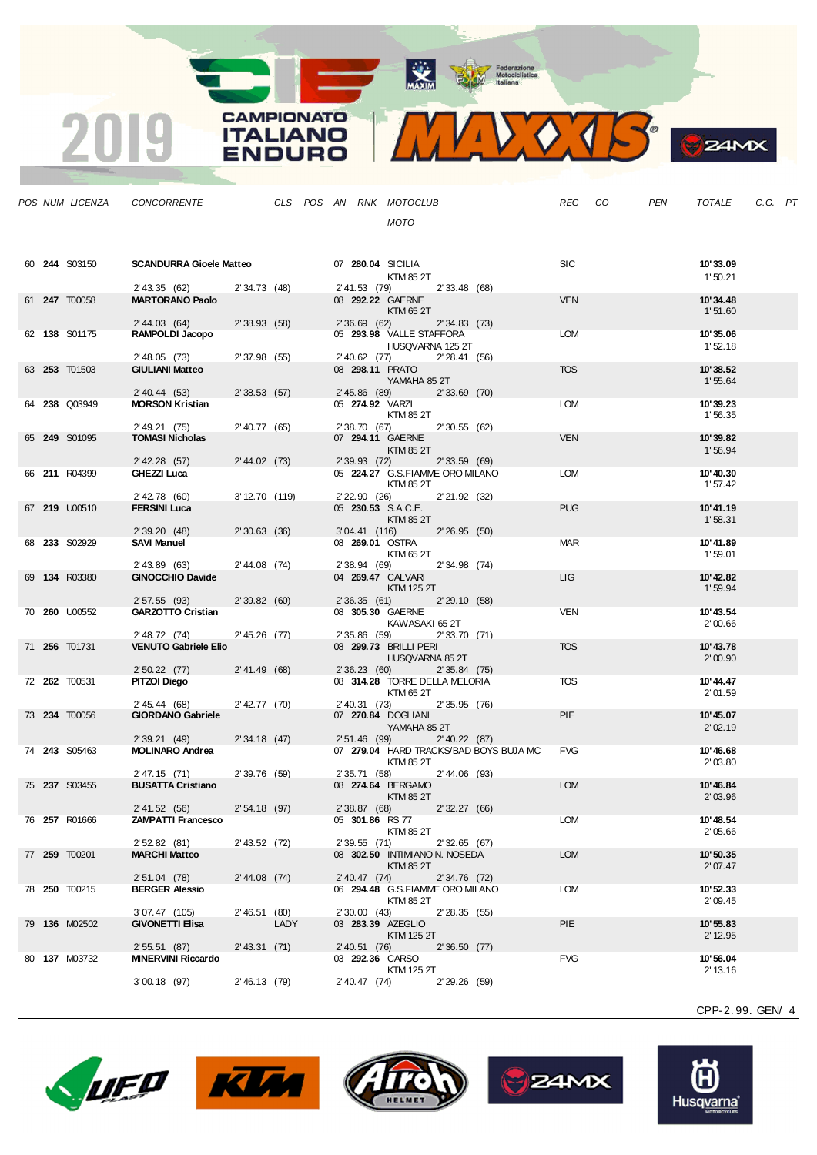MAXIM BOOR Motociclistica

VOJS.  $\mathbf{V}$ 

**S**ZAMX

|  | POS NUM LICENZA      | CONCORRENTE                                |                 |      |  |                 | CLS POS AN RNK MOTOCLUB                           |                |                                        | REG        | CO | PEN | TOTALE              | C.G. PT |  |
|--|----------------------|--------------------------------------------|-----------------|------|--|-----------------|---------------------------------------------------|----------------|----------------------------------------|------------|----|-----|---------------------|---------|--|
|  |                      |                                            |                 |      |  |                 | MOTO                                              |                |                                        |            |    |     |                     |         |  |
|  |                      |                                            |                 |      |  |                 |                                                   |                |                                        |            |    |     |                     |         |  |
|  |                      |                                            |                 |      |  |                 |                                                   |                |                                        |            |    |     |                     |         |  |
|  | 60 <b>244</b> S03150 | <b>SCANDURRA Gioele Matteo</b>             |                 |      |  |                 | 07 280.04 SICILIA<br>KTM 85 2T                    |                |                                        | <b>SIC</b> |    |     | 10'33.09<br>1'50.21 |         |  |
|  |                      | 2' 43.35 (62) 2' 34.73 (48)                |                 |      |  |                 | 2'41.53 (79) 2'33.48 (68)                         |                |                                        |            |    |     |                     |         |  |
|  | 61 247 T00058        | <b>MARTORANO Paolo</b>                     |                 |      |  |                 | 08 292.22 GAERNE                                  |                |                                        | <b>VEN</b> |    |     | 10'34.48            |         |  |
|  |                      | 2' 44.03 (64)                              | 2'38.93(58)     |      |  | $2'36.69$ (62)  | KTM 65 2T                                         | 2'34.83(73)    |                                        |            |    |     | 1'51.60             |         |  |
|  | 62 138 S01175        | RAMPOLDI Jacopo                            |                 |      |  |                 | 05 293.98 VALLE STAFFORA                          |                |                                        | <b>LOM</b> |    |     | 10'35.06            |         |  |
|  |                      |                                            |                 |      |  |                 | HUSQVARNA 125 2T                                  |                |                                        |            |    |     | 1'52.18             |         |  |
|  | 63 253 T01503        | 2' 48.05 (73)<br><b>GIULIANI Matteo</b>    | 2'37.98 (55)    |      |  |                 | 2'40.62 (77)<br>08 298.11 PRATO                   | 2'28.41(56)    |                                        | <b>TOS</b> |    |     | 10'38.52            |         |  |
|  |                      |                                            |                 |      |  |                 | YAMAHA 85 2T                                      |                |                                        |            |    |     | 1'55.64             |         |  |
|  | 64 238 Q03949        | $2'$ 40.44 (53)<br><b>MORSON Kristian</b>  | 2'38.53(57)     |      |  |                 | 2' 45.86 (89) 2' 33.69 (70)<br>05 274.92 VARZI    |                |                                        | <b>LOM</b> |    |     | 10'39.23            |         |  |
|  |                      |                                            |                 |      |  |                 | KTM 85 2T                                         |                |                                        |            |    |     | 1'56.35             |         |  |
|  |                      | 2' 49.21 (75)                              | $2'$ 40.77 (65) |      |  |                 | 2' 38.70 (67) 2' 30.55 (62)                       |                |                                        |            |    |     |                     |         |  |
|  | 65 249 S01095        | <b>TOMASI Nicholas</b>                     |                 |      |  |                 | 07 294.11 GAERNE<br>KTM 85 2T                     |                |                                        | <b>VEN</b> |    |     | 10'39.82<br>1'56.94 |         |  |
|  |                      | 2' 42.28 (57)                              | 2' 44.02 (73)   |      |  |                 | 2' 39.93 (72) 2' 33.59 (69)                       |                |                                        |            |    |     |                     |         |  |
|  | 66 211 R04399        | GHEZZI Luca                                |                 |      |  |                 | 05 224.27 G.S.FIAMME ORO MILANO<br>KTM 85 2T      |                |                                        | LOM        |    |     | 10'40.30            |         |  |
|  |                      | 2' 42.78 (60)                              | 3' 12.70 (119)  |      |  |                 | 2'22.90 (26) 2'21.92 (32)                         |                |                                        |            |    |     | 1'57.42             |         |  |
|  | 67 219 U00510        | <b>FERSINI Luca</b>                        |                 |      |  |                 | 05 230.53 S.A.C.E.                                |                |                                        | <b>PUG</b> |    |     | 10'41.19            |         |  |
|  |                      | 2'39.20(48)                                | 2'30.63(36)     |      |  |                 | KTM 85 2T<br>3'04.41 (116) 2'26.95 (50)           |                |                                        |            |    |     | 1'58.31             |         |  |
|  | 68 233 S02929        | <b>SAVI Manuel</b>                         |                 |      |  |                 | 08 269.01 OSTRA                                   |                |                                        | <b>MAR</b> |    |     | 10'41.89            |         |  |
|  |                      |                                            |                 |      |  |                 | KTM 65 2T                                         |                |                                        |            |    |     | 1'59.01             |         |  |
|  | 69 134 R03380        | 2' 43.89 (63)<br><b>GINOCCHIO Davide</b>   | 2' 44.08 (74)   |      |  |                 | 2' 38.94 (69)<br>04 269.47 CALVARI                | 2' 34.98 (74)  |                                        | LIG        |    |     | 10'42.82            |         |  |
|  |                      |                                            |                 |      |  |                 | KTM 125 2T                                        |                |                                        |            |    |     | 1'59.94             |         |  |
|  | 70 260 U00552        | 2'57.55(93)<br><b>GARZOTTO Cristian</b>    | 2'39.82(60)     |      |  | 2'36.35(61)     | 08 305.30 GAERNE                                  | 2'29.10(58)    |                                        | <b>VEN</b> |    |     | 10'43.54            |         |  |
|  |                      |                                            |                 |      |  |                 | KAWASAKI 652T                                     |                |                                        |            |    |     | 2'00.66             |         |  |
|  |                      | 2' 48.72 (74)                              | $2'45.26$ (77)  |      |  | 2' 35.86 (59)   |                                                   | 2'33.70 (71)   |                                        |            |    |     |                     |         |  |
|  | 71 256 T01731        | <b>VENUTO Gabriele Elio</b>                |                 |      |  |                 | 08 299.73 BRILLI PERI<br>HUSQVARNA 85 2T          |                |                                        | <b>TOS</b> |    |     | 10'43.78<br>2'00.90 |         |  |
|  |                      | $2'50.22$ (77)                             | 2' 41.49 (68)   |      |  |                 | 2'36.23(60)                                       | 2'35.84(75)    |                                        |            |    |     |                     |         |  |
|  | 72 262 T00531        | PITZOI Diego                               |                 |      |  |                 | 08 314.28 TORRE DELLA MELORIA<br>KTM 65 2T        |                |                                        | <b>TOS</b> |    |     | 10'44.47<br>2'01.59 |         |  |
|  |                      | 2' 45.44 (68)                              | 2' 42.77 (70)   |      |  |                 | 2' 40.31 (73) 2' 35.95 (76)                       |                |                                        |            |    |     |                     |         |  |
|  | 73 234 T00056        | <b>GIORDANO Gabriele</b>                   |                 |      |  |                 | 07 270.84 DOGLIANI                                |                |                                        | <b>PIE</b> |    |     | 10'45.07            |         |  |
|  |                      | 2' 39.21 (49)                              | 2'34.18(47)     |      |  |                 | YAMAHA 85 2T<br>2' 51.46 (99) 2' 40.22 (87)       |                |                                        |            |    |     | 2'02.19             |         |  |
|  | 74 243 S05463        | <b>MOLINARO Andrea</b>                     |                 |      |  |                 |                                                   |                | 07 279.04 HARD TRACKS/BAD BOYS BUJA MC | <b>FVG</b> |    |     | 10'46.68            |         |  |
|  |                      |                                            |                 |      |  |                 | KTM 85 2T                                         |                |                                        |            |    |     | 2'03.80             |         |  |
|  | 75 237 S03455        | 2' 47.15 (71)<br><b>BUSATTA Cristiano</b>  | 2'39.76(59)     |      |  |                 | 2' 35.71 (58)<br>08 274.64 BERGAMO                | 2'44.06 (93)   |                                        | <b>LOM</b> |    |     | 10'46.84            |         |  |
|  |                      |                                            |                 |      |  |                 | KTM 85 2T                                         |                |                                        |            |    |     | 2'03.96             |         |  |
|  | 76 257 R01666        | 2' 41.52 (56)<br><b>ZAMPATTI Francesco</b> | 2' 54.18 (97)   |      |  |                 | 2' 38.87 (68) 2' 32.27 (66)<br>05 301.86 RS 77    |                |                                        | <b>LOM</b> |    |     | 10'48.54            |         |  |
|  |                      |                                            |                 |      |  |                 | KTM 85 2T                                         |                |                                        |            |    |     | 2'05.66             |         |  |
|  |                      | 2' 52.82 (81)                              | 2' 43.52 (72)   |      |  | 2' 39.55 (71)   |                                                   | 2'32.65(67)    |                                        |            |    |     |                     |         |  |
|  | 77 259 T00201        | <b>MARCHI Matteo</b>                       |                 |      |  |                 | 08 302.50 INTIMIANO N. NOSEDA<br><b>KTM 85 2T</b> |                |                                        | <b>LOM</b> |    |     | 10'50.35<br>2'07.47 |         |  |
|  |                      | $2'51.04$ (78)                             | 2' 44.08 (74)   |      |  | $2'$ 40.47 (74) |                                                   | 2'34.76(72)    |                                        |            |    |     |                     |         |  |
|  | 78 250 T00215        | <b>BERGER Alessio</b>                      |                 |      |  |                 | 06 294.48 G.S.FIAMME ORO MILANO<br>KTM 85 2T      |                |                                        | <b>LOM</b> |    |     | 10'52.33<br>2'09.45 |         |  |
|  |                      | $3'07.47$ (105)                            | 2'46.51(80)     |      |  | 2'30.00(43)     |                                                   | 2'28.35(55)    |                                        |            |    |     |                     |         |  |
|  | 79 136 M02502        | <b>GIVONETTI Elisa</b>                     |                 | LADY |  |                 | 03 283.39 AZEGLIO                                 |                |                                        | <b>PIE</b> |    |     | 10'55.83            |         |  |
|  |                      | 2'55.51(87)                                | $2'$ 43.31 (71) |      |  | 2' 40.51 (76)   | KTM 125 2T                                        | 2'36.50(77)    |                                        |            |    |     | 2' 12.95            |         |  |
|  | 80 137 M03732        | <b>MINERVINI Riccardo</b>                  |                 |      |  |                 | 03 292.36 CARSO                                   |                |                                        | <b>FVG</b> |    |     | 10'56.04            |         |  |
|  |                      |                                            |                 |      |  |                 | KTM 125 2T                                        |                |                                        |            |    |     | 2' 13.16            |         |  |
|  |                      | $3'00.18$ (97)                             | 2'46.13(79)     |      |  | 2' 40.47 (74)   |                                                   | $2'29.26$ (59) |                                        |            |    |     |                     |         |  |

**CAMPIONATO** 

**ITALIANO** 

**ENDURO** 

2019









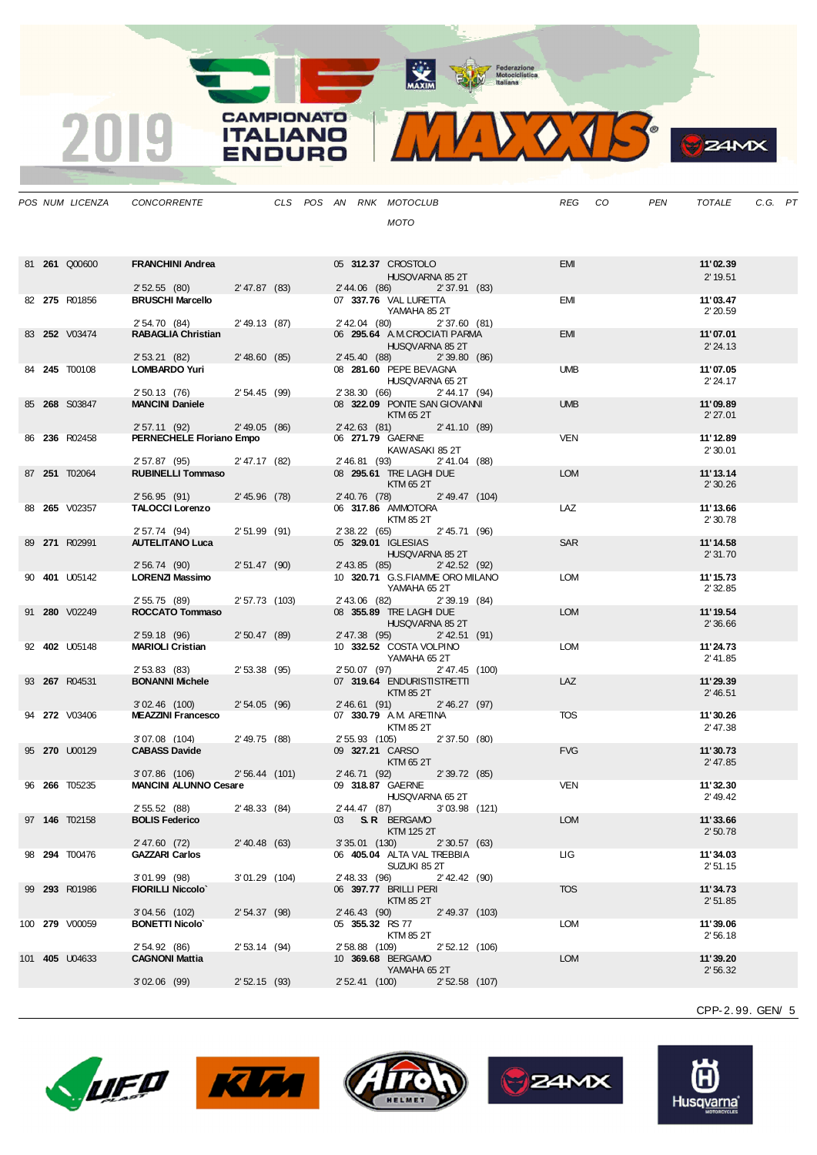MAXIM BOOR Motociclistica

VOJS.  $\mathbf{V}$ 

**CAMPIONATO** 

**ITALIANO** 

**ENDURO** 

2019

**B**z<sub>4MX</sub>

|  | POS NUM LICENZA       | CONCORRENTE                                             |                 |  |                 | CLS POS AN RNK MOTOCLUB                                    |                 |                | REG        | CO. | <b>PEN</b> | TOTALE               | C.G. PT |  |
|--|-----------------------|---------------------------------------------------------|-----------------|--|-----------------|------------------------------------------------------------|-----------------|----------------|------------|-----|------------|----------------------|---------|--|
|  |                       |                                                         |                 |  |                 | <b>MOTO</b>                                                |                 |                |            |     |            |                      |         |  |
|  |                       |                                                         |                 |  |                 |                                                            |                 |                |            |     |            |                      |         |  |
|  | 81 261 Q00600         | <b>FRANCHINI Andrea</b>                                 |                 |  |                 | 05 312.37 CROSTOLO                                         |                 |                | <b>EMI</b> |     |            | 11'02.39             |         |  |
|  |                       |                                                         |                 |  |                 | HUSQVARNA 85 2T                                            |                 |                |            |     |            | 2' 19.51             |         |  |
|  |                       | 2'52.55(80)                                             | 2' 47.87 (83)   |  |                 | 2' 44.06 (86)                                              | 2'37.91(83)     |                |            |     |            |                      |         |  |
|  | 82 275 R01856         | <b>BRUSCHI Marcello</b>                                 |                 |  |                 | 07 337.76 VAL LURETTA<br>YAMAHA 85 2T                      |                 |                | <b>EMI</b> |     |            | 11'03.47<br>2'20.59  |         |  |
|  |                       | 2' 54.70 (84)                                           | $2'$ 49.13 (87) |  |                 | 2' 42.04 (80)                                              | 2'37.60(81)     |                |            |     |            |                      |         |  |
|  | 83 252 V03474         | <b>RABAGLIA Christian</b>                               |                 |  |                 | 06 295.64 A.M.CROCIATI PARMA                               |                 |                | <b>EMI</b> |     |            | 11'07.01             |         |  |
|  |                       | 2' 53.21 (82)                                           | 2'48.60(85)     |  |                 | HUSQVARNA 85 2T<br>2' 45.40 (88)                           | 2'39.80(86)     |                |            |     |            | 2' 24.13             |         |  |
|  | 84 245 T00108         | LOMBARDO Yuri                                           |                 |  |                 | 08 281.60 PEPE BEVAGNA                                     |                 |                | <b>UMB</b> |     |            | 11'07.05             |         |  |
|  |                       | 2' 50.13 (76)                                           | 2'54.45(99)     |  |                 | HUSQVARNA 65 2T<br>2' 38.30 (66) 2' 44.17 (94)             |                 |                |            |     |            | 2' 24.17             |         |  |
|  | 85 268 S03847         | <b>MANCINI Daniele</b>                                  |                 |  |                 | 08 322.09 PONTE SAN GIOVANNI                               |                 |                | <b>UMB</b> |     |            | 11'09.89             |         |  |
|  |                       |                                                         |                 |  |                 | KTM 65 2T                                                  |                 |                |            |     |            | 2'27.01              |         |  |
|  | 86 236 R02458         | 2' 57.11 (92)<br>PERNECHELE Floriano Empo               | $2'$ 49.05 (86) |  |                 | $2'$ 42.63 (81)<br>06 271.79 GAERNE                        | 2' 41.10 (89)   |                | <b>VEN</b> |     |            | 11'12.89             |         |  |
|  |                       |                                                         |                 |  |                 | KAWASAKI 85 2T                                             |                 |                |            |     |            | 2'30.01              |         |  |
|  |                       | 2' 57.87 (95) 2' 47.17 (82)<br><b>RUBINELLI Tommaso</b> |                 |  |                 | 2' 46.81 (93)<br>08 295.61 TRE LAGHI DUE                   | 2'41.04 (88)    |                | <b>LOM</b> |     |            |                      |         |  |
|  | 87 251 T02064         |                                                         |                 |  |                 | KTM 65 2T                                                  |                 |                |            |     |            | 11'13.14<br>2'30.26  |         |  |
|  |                       | 2'56.95(91)                                             | 2'45.96(78)     |  |                 | 2' 40.76 (78) 2' 49.47 (104)                               |                 |                |            |     |            |                      |         |  |
|  | 88 265 V02357         | TALOCCI Lorenzo                                         |                 |  |                 | 06 317.86 AMMOTORA<br>KTM 85 2T                            |                 |                | LAZ        |     |            | 11'13.66<br>2'30.78  |         |  |
|  |                       | 2' 57.74 (94)                                           | 2'51.99(91)     |  |                 | 2' 38.22 (65)                                              | 2'45.71(96)     |                |            |     |            |                      |         |  |
|  | 89 271 R02991         | <b>AUTELITANO Luca</b>                                  |                 |  |                 | 05 329.01 IGLESIAS                                         |                 |                | <b>SAR</b> |     |            | 11'14.58             |         |  |
|  |                       | 2'56.74(90)                                             | 2'51.47(90)     |  |                 | HUSQVARNA 85 2T<br>2' 43.85 (85)                           | $2'$ 42.52 (92) |                |            |     |            | 2'31.70              |         |  |
|  | 90 401 U05142         | LORENZI Massimo                                         |                 |  |                 | 10 320.71 G.S.FIAMME ORO MILANO                            |                 |                | LOM        |     |            | 11'15.73             |         |  |
|  |                       | 2' 55.75 (89)                                           | 2' 57.73 (103)  |  | 2' 43.06 (82)   | YAMAHA 65 2T                                               | 2'39.19(84)     |                |            |     |            | 2' 32.85             |         |  |
|  | 91 280 V02249         | ROCCATO Tommaso                                         |                 |  |                 | 08 355.89 TRE LAGHI DUE                                    |                 |                | <b>LOM</b> |     |            | 11'19.54             |         |  |
|  |                       |                                                         |                 |  |                 | HUSQVARNA 85 2T                                            |                 |                |            |     |            | 2' 36.66             |         |  |
|  | 92 402 U05148         | 2'59.18(96)<br><b>MARIOLI Cristian</b>                  | 2'50.47(89)     |  |                 | 2' 47.38 (95)<br>10 332.52 COSTA VOLPINO                   | $2'$ 42.51 (91) |                | <b>LOM</b> |     |            | 11'24.73             |         |  |
|  |                       |                                                         |                 |  |                 | YAMAHA 65 2T                                               |                 |                |            |     |            | 2' 41.85             |         |  |
|  | 93 267 R04531         | 2' 53.83 (83)<br><b>BONANNI Michele</b>                 | $2'53.38$ (95)  |  |                 | 2' 50.07 (97) 2' 47.45 (100)<br>07 319.64 ENDURISTISTRETTI |                 |                | LAZ        |     |            | 11'29.39             |         |  |
|  |                       |                                                         |                 |  |                 | KTM 85 2T                                                  |                 |                |            |     |            | 2' 46.51             |         |  |
|  |                       | 3'02.46 (100)                                           | 2'54.05(96)     |  |                 | 2' 46.61 (91) 2' 46.27 (97)                                |                 |                |            |     |            |                      |         |  |
|  | 94 272 V03406         | <b>MEAZZINI Francesco</b>                               |                 |  |                 | 07 330.79 A.M. ARETINA<br>KTM 85 2T                        |                 |                | <b>TOS</b> |     |            | 11'30.26<br>2' 47.38 |         |  |
|  |                       | 3'07.08 (104)                                           | 2'49.75 (88)    |  |                 | 2' 55.93 (105) 2' 37.50 (80)                               |                 |                |            |     |            |                      |         |  |
|  | 95 270 U00129         | <b>CABASS Davide</b>                                    |                 |  |                 | 09 327.21 CARSO<br>KTM 65 2T                               |                 |                | <b>FVG</b> |     |            | 11'30.73<br>2' 47.85 |         |  |
|  |                       | 3'07.86 (106)                                           | $2'56.44$ (101) |  | 2' 46.71 (92)   |                                                            | 2'39.72(85)     |                |            |     |            |                      |         |  |
|  | 96 266 T05235         | <b>MANCINI ALUNNO Cesare</b>                            |                 |  |                 | 09 318.87 GAERNE                                           |                 |                | <b>VEN</b> |     |            | 11'32.30             |         |  |
|  |                       | 2' 55.52 (88)                                           | 2'48.33 (84)    |  |                 | HUSQVARNA 65 2T<br>2'44.47 (87) 3'03.98 (121)              |                 |                |            |     |            | 2' 49.42             |         |  |
|  | 97 146 T02158         | <b>BOLIS Federico</b>                                   |                 |  |                 | 03 S.R. BERGAMO                                            |                 |                | <b>LOM</b> |     |            | 11'33.66             |         |  |
|  |                       |                                                         |                 |  |                 | KTM 125 2T                                                 |                 |                |            |     |            | 2'50.78              |         |  |
|  | 98 294 T00476         | 2' 47.60 (72)<br><b>GAZZARI Carlos</b>                  | $2'$ 40.48 (63) |  | $3'35.01$ (130) | 06 405.04 ALTA VAL TREBBIA                                 | 2'30.57(63)     |                | LIG.       |     |            | 11'34.03             |         |  |
|  |                       |                                                         |                 |  |                 | SUZUKI 85 2T                                               |                 |                |            |     |            | 2'51.15              |         |  |
|  | 99 293 R01986         | $3'01.99$ (98)<br><b>FIORILLI Niccolo'</b>              | $3'01.29$ (104) |  | 2' 48.33 (96)   | 06 397.77 BRILLI PERI                                      | $2'$ 42.42 (90) |                | <b>TOS</b> |     |            | 11'34.73             |         |  |
|  |                       |                                                         |                 |  |                 | KTM 85 2T                                                  |                 |                |            |     |            | 2'51.85              |         |  |
|  |                       | $3'04.56$ (102)                                         | $2'54.37$ (98)  |  | $2' 46.43$ (90) |                                                            |                 | 2' 49.37 (103) |            |     |            |                      |         |  |
|  | 100 279 V00059        | <b>BONETTI Nicolo</b>                                   |                 |  |                 | 05 355.32 RS 77<br>KTM 85 2T                               |                 |                | <b>LOM</b> |     |            | 11'39.06<br>2'56.18  |         |  |
|  |                       | 2' 54.92 (86)                                           | 2'53.14(94)     |  | 2' 58.88 (109)  |                                                            |                 | 2' 52.12 (106) |            |     |            |                      |         |  |
|  | 101 <b>405</b> U04633 | <b>CAGNONI Mattia</b>                                   |                 |  |                 | 10 369.68 BERGAMO<br>YAMAHA 65 2T                          |                 |                | <b>LOM</b> |     |            | 11'39.20<br>2'56.32  |         |  |
|  |                       | $3'02.06$ (99)                                          | 2'52.15(93)     |  | 2' 52.41 (100)  |                                                            |                 | 2'52.58 (107)  |            |     |            |                      |         |  |
|  |                       |                                                         |                 |  |                 |                                                            |                 |                |            |     |            |                      |         |  |









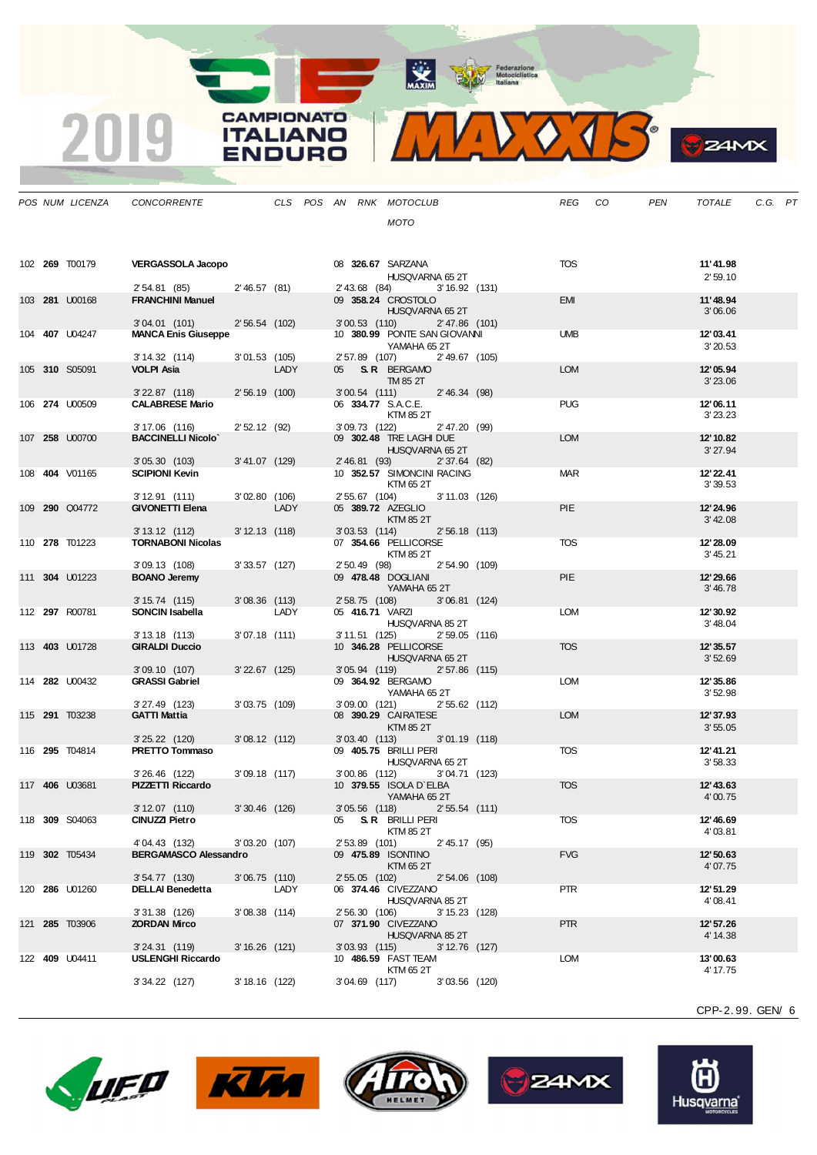MAXIM BOORN Motociclistica

DO TB  $\mathbf{v}_{\mathbf{k}}$ 

| $\mathbf{v}$<br>r |
|-------------------|
|                   |

|  | POS NUM LICENZA       | CONCORRENTE                                    |                  |      |  |                 | CLS POS AN RNK MOTOCLUB                |                                                  |  | REG        | CO | PEN | TOTALE               | C.G. PT |  |
|--|-----------------------|------------------------------------------------|------------------|------|--|-----------------|----------------------------------------|--------------------------------------------------|--|------------|----|-----|----------------------|---------|--|
|  |                       |                                                |                  |      |  |                 | <b>MOTO</b>                            |                                                  |  |            |    |     |                      |         |  |
|  |                       |                                                |                  |      |  |                 |                                        |                                                  |  |            |    |     |                      |         |  |
|  | 102 <b>269</b> T00179 | <b>VERGASSOLA Jacopo</b>                       |                  |      |  |                 | 08 326.67 SARZANA                      | HUSQVARNA 65 2T                                  |  | TOS        |    |     | 11'41.98<br>2'59.10  |         |  |
|  |                       | 2' 54.81 (85)                                  | 2'46.57(81)      |      |  |                 |                                        | 2' 43.68 (84) 3' 16.92 (131)                     |  |            |    |     |                      |         |  |
|  | 103 281 U00168        | <b>FRANCHINI Manuel</b>                        |                  |      |  |                 |                                        | 09 358.24 CROSTOLO<br>HUSQVARNA 65 2T            |  | <b>EMI</b> |    |     | 11'48.94<br>3'06.06  |         |  |
|  |                       | 3'04.01(101)                                   | 2'56.54(102)     |      |  |                 |                                        | 3'00.53 (110) 2'47.86 (101)                      |  |            |    |     |                      |         |  |
|  | 104 <b>407</b> U04247 | <b>MANCA Enis Giuseppe</b>                     |                  |      |  |                 | YAMAHA 65 2T                           | 10 380.99 PONTE SAN GIOVANNI                     |  | <b>UMB</b> |    |     | 12'03.41<br>3'20.53  |         |  |
|  |                       | 3' 14.32 (114)                                 | 3'01.53 (105)    |      |  |                 |                                        | 2' 57.89 (107) 2' 49.67 (105)                    |  |            |    |     |                      |         |  |
|  | 105 310 S05091        | VOLPI Asia                                     | 2'56.19 (100)    | LADY |  |                 | 05 S.R. BERGAMO<br>TM 85 2T            | 3'00.54 (111) 2'46.34 (98)                       |  | <b>LOM</b> |    |     | 12'05.94<br>3'23.06  |         |  |
|  | 106 274 U00509        | $3'$ 22.87 $(118)$<br><b>CALABRESE Mario</b>   |                  |      |  |                 | 06 334.77 S.A.C.E.                     |                                                  |  | <b>PUG</b> |    |     | 12'06.11             |         |  |
|  |                       | 3' 17.06 (116)                                 | 2'52.12(92)      |      |  |                 | KTM 85 2T<br>3'09.73 (122)             | 2'47.20 (99)                                     |  |            |    |     | 3'23.23              |         |  |
|  | 107 258 U00700        | <b>BACCINELLI Nicolo'</b>                      |                  |      |  |                 |                                        | 09 302.48 TRE LAGHI DUE                          |  | <b>LOM</b> |    |     | 12' 10.82            |         |  |
|  |                       | 3'05.30 (103)                                  | $3' 41.07$ (129) |      |  |                 | 2' 46.81 (93)                          | HUSQVARNA 65 2T<br>2' 37.64 (82)                 |  |            |    |     | 3'27.94              |         |  |
|  | 108 404 V01165        | <b>SCIPIONI Kevin</b>                          |                  |      |  |                 |                                        | 10 352.57 SIMONCINI RACING                       |  | <b>MAR</b> |    |     | 12' 22.41            |         |  |
|  |                       |                                                |                  |      |  |                 | KTM 65 2T                              |                                                  |  |            |    |     | 3'39.53              |         |  |
|  | 109 290 Q04772        | 3' 12.91 (111)<br><b>GIVONETTI Elena</b>       | 3'02.80(106)     | LADY |  | 2' 55.67 (104)  | 05 389.72 AZEGLIO                      | 3'11.03 (126)                                    |  | <b>PIE</b> |    |     | 12' 24.96            |         |  |
|  |                       | $3'13.12$ (112)                                | $3' 12.13$ (118) |      |  | $3'03.53$ (114) | KTM 85 2T                              | 2'56.18 (113)                                    |  |            |    |     | 3' 42.08             |         |  |
|  | 110 278 T01223        | <b>TORNABONI Nicolas</b>                       |                  |      |  |                 | 07 354.66 PELLICORSE                   |                                                  |  | <b>TOS</b> |    |     | 12'28.09             |         |  |
|  |                       |                                                |                  |      |  |                 | KTM 85 2T                              |                                                  |  |            |    |     | 3' 45.21             |         |  |
|  |                       | 3'09.13 (108)                                  | $3'33.57$ (127)  |      |  | 2' 50.49 (98)   |                                        | 2'54.90 (109)                                    |  |            |    |     |                      |         |  |
|  | 111 304 U01223        | <b>BOANO Jeremy</b>                            |                  |      |  |                 | 09 478.48 DOGLIANI<br>YAMAHA 65 2T     |                                                  |  | <b>PIE</b> |    |     | 12'29.66<br>3'46.78  |         |  |
|  |                       | 3' 15.74 (115)                                 | $3'08.36$ (113)  |      |  |                 |                                        | 2' 58.75 (108) 3' 06.81 (124)                    |  |            |    |     |                      |         |  |
|  | 112 297 R00781        | SONCIN Isabella                                |                  | LADY |  |                 | 05 416.71 VARZI                        | HUSQVARNA 85 2T<br>3' 11.51 (125) 2' 59.05 (116) |  | LOM        |    |     | 12'30.92<br>3'48.04  |         |  |
|  | 113 403 U01728        | $3'13.18$ (113)<br><b>GIRALDI Duccio</b>       | $3'07.18$ (111)  |      |  |                 | 10 346.28 PELLICORSE                   |                                                  |  | <b>TOS</b> |    |     | 12' 35.57            |         |  |
|  |                       | 3'09.10 (107)                                  | $3'22.67$ (125)  |      |  |                 |                                        | HUSQVARNA 65 2T<br>3'05.94 (119) 2'57.86 (115)   |  |            |    |     | 3'52.69              |         |  |
|  | 114 282 U00432        | <b>GRASSI Gabriel</b>                          |                  |      |  |                 | 09 364.92 BERGAMO                      |                                                  |  | <b>LOM</b> |    |     | 12'35.86             |         |  |
|  |                       |                                                |                  |      |  |                 | YAMAHA 65 2T                           |                                                  |  |            |    |     | 3'52.98              |         |  |
|  |                       | 3'27.49 (123)                                  | $3'03.75$ (109)  |      |  |                 |                                        | 3'09.00 (121) 2'55.62 (112)                      |  |            |    |     |                      |         |  |
|  | 115 291 T03238        | <b>GATTI Mattia</b>                            |                  |      |  |                 | 08 390.29 CAIRATESE<br>KTM 85 2T       |                                                  |  | <b>LOM</b> |    |     | 12'37.93<br>3'55.05  |         |  |
|  |                       | 3'25.22 (120) 3'08.12 (112)                    |                  |      |  |                 | 3'03.40 (113)                          | $3'01.19$ (118)                                  |  |            |    |     |                      |         |  |
|  | 116 295 T04814        | PRETTO Tommaso                                 |                  |      |  |                 | 09 405.75 BRILLI PERI                  | HUSQVARNA 65 2T                                  |  | <b>TOS</b> |    |     | 12' 41.21<br>3'58.33 |         |  |
|  |                       | 3'26.46 (122)                                  | $3'09.18$ (117)  |      |  | 3'00.86 (112)   |                                        | 3'04.71 (123)                                    |  |            |    |     |                      |         |  |
|  | 117 406 U03681        | <b>PIZZETTI Riccardo</b>                       |                  |      |  |                 | 10 379.55 ISOLA D`ELBA<br>YAMAHA 65 2T |                                                  |  | <b>TOS</b> |    |     | 12'43.63<br>4'00.75  |         |  |
|  | 118 309 S04063        | 3' 12.07 (110)<br>CINUZZI Pietro               | 3' 30.46 (126)   |      |  |                 |                                        | 3'05.56 (118) 2'55.54 (111)                      |  | <b>TOS</b> |    |     | 12' 46.69            |         |  |
|  |                       |                                                |                  |      |  |                 | 05 S.R. BRILLI PERI<br>KTM 85 2T       |                                                  |  |            |    |     | 4'03.81              |         |  |
|  | 119 302 T05434        | 4' 04.43 (132)<br><b>BERGAMASCO Alessandro</b> | 3'03.20 (107)    |      |  | 2' 53.89 (101)  | 09 475.89 ISONTINO                     | 2' 45.17 (95)                                    |  | <b>FVG</b> |    |     | 12'50.63             |         |  |
|  |                       | 3' 54.77 (130)                                 | $3'06.75$ (110)  |      |  | $2'55.05$ (102) | KTM 65 2T                              | $2'54.06$ (108)                                  |  |            |    |     | 4'07.75              |         |  |
|  | 120 286 U01260        | <b>DELLAI Benedetta</b>                        |                  | LADY |  |                 | 06 374.46 CIVEZZANO                    |                                                  |  | <b>PTR</b> |    |     | 12'51.29             |         |  |
|  |                       | 3'31.38 (126)                                  | $3'08.38$ (114)  |      |  | 2' 56.30 (106)  |                                        | HUSQVARNA 85 2T<br>$3' 15.23$ (128)              |  |            |    |     | 4'08.41              |         |  |
|  | 121 <b>285</b> T03906 | ZORDAN Mirco                                   |                  |      |  |                 | 07 371.90 CIVEZZANO                    |                                                  |  | <b>PTR</b> |    |     | 12' 57.26            |         |  |
|  |                       | 3' 24.31 (119)                                 | $3'16.26$ (121)  |      |  | $3'03.93$ (115) |                                        | HUSQVARNA 85 2T<br>3' 12.76 (127)                |  |            |    |     | 4' 14.38             |         |  |
|  | 122 409 U04411        | <b>USLENGHI Riccardo</b>                       |                  |      |  |                 | 10 486.59 FAST TEAM                    |                                                  |  | <b>LOM</b> |    |     | 13'00.63             |         |  |
|  |                       |                                                |                  |      |  |                 | KTM 65 2T                              |                                                  |  |            |    |     | 4' 17.75             |         |  |
|  |                       | 3' 34.22 (127)                                 | 3' 18.16 (122)   |      |  | $3'04.69$ (117) |                                        | $3'03.56$ (120)                                  |  |            |    |     |                      |         |  |

**CAMPIONATO** 

**ITALIANO ENDURO** 

2019









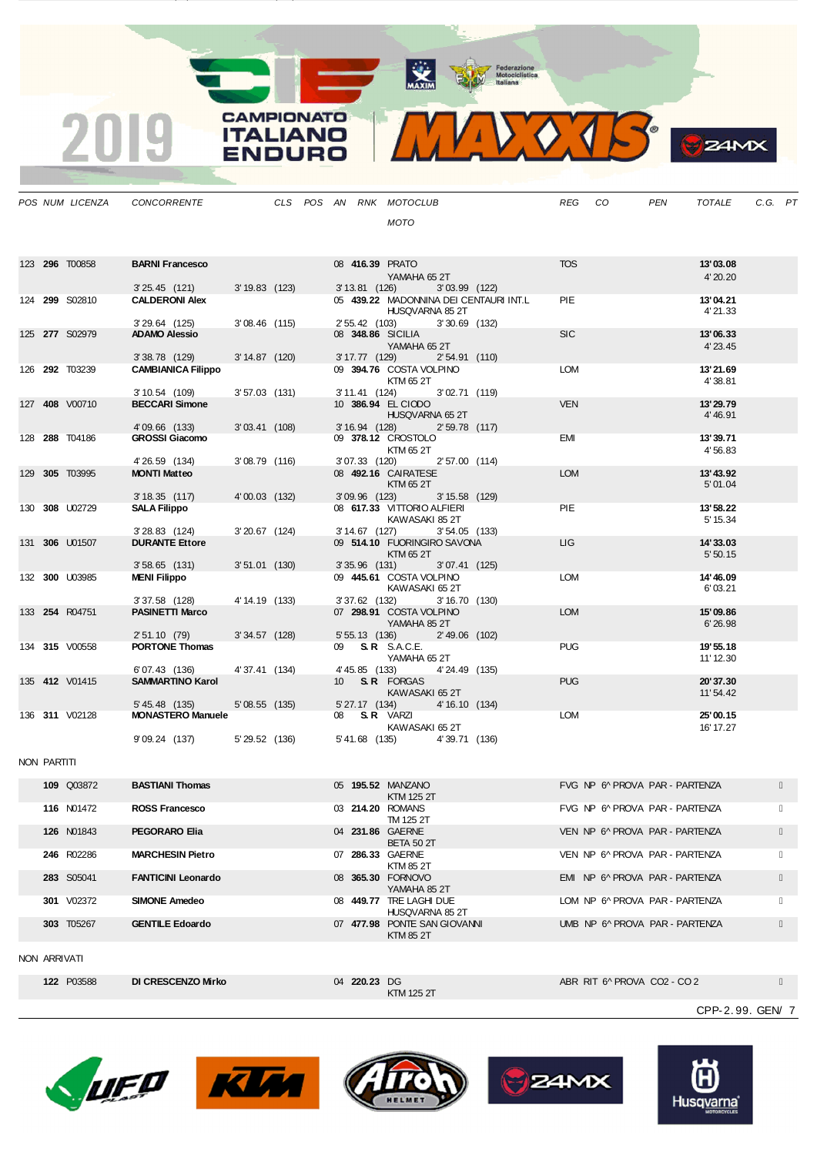MAXIM Federazione<br>
Motociclistica<br>
Italiana

 $\bullet$ 

**24MX** 

|  | POS NUM LICENZA | CONCORRENTE                                            |                 | CLS POS AN RNK MOTOCLUB |               |                                                                                                                                                                                                                                |               |                                        | <b>REG</b> | CO. | <b>PEN</b> | <b>TOTALE</b>         | C.G. PT |  |
|--|-----------------|--------------------------------------------------------|-----------------|-------------------------|---------------|--------------------------------------------------------------------------------------------------------------------------------------------------------------------------------------------------------------------------------|---------------|----------------------------------------|------------|-----|------------|-----------------------|---------|--|
|  |                 |                                                        |                 |                         |               | <b>MOTO</b>                                                                                                                                                                                                                    |               |                                        |            |     |            |                       |         |  |
|  |                 |                                                        |                 |                         |               |                                                                                                                                                                                                                                |               |                                        |            |     |            |                       |         |  |
|  |                 |                                                        |                 |                         |               |                                                                                                                                                                                                                                |               |                                        |            |     |            |                       |         |  |
|  | 123 296 T00858  | <b>BARNI Francesco</b>                                 |                 |                         |               | 08 416.39 PRATO And the contract of the contract of the contract of the contract of the contract of the contract of the contract of the contract of the contract of the contract of the contract of the contract of the contra |               |                                        | <b>TOS</b> |     |            | 13'03.08              |         |  |
|  |                 |                                                        |                 |                         |               | YAMAHA 652T                                                                                                                                                                                                                    |               |                                        |            |     |            | 4' 20.20              |         |  |
|  | 124 299 S02810  | 3' 25.45 (121) 3' 19.83 (123)<br><b>CALDERONI Alex</b> |                 |                         |               | 3' 13.81 (126) 3' 03.99 (122)                                                                                                                                                                                                  |               | 05 439.22 MADONNINA DEI CENTAURI INT.L | <b>PIE</b> |     |            | 13'04.21              |         |  |
|  |                 |                                                        |                 |                         |               | HUSQVARNA 85 2T                                                                                                                                                                                                                |               |                                        |            |     |            | 4'21.33               |         |  |
|  |                 | 3'29.64 (125)                                          | $3'08.46$ (115) |                         |               | 2' 55.42 (103) 3' 30.69 (132)                                                                                                                                                                                                  |               |                                        |            |     |            |                       |         |  |
|  | 125 277 S02979  | <b>ADAMO Alessio</b>                                   |                 |                         |               | 08 348.86 SICILIA                                                                                                                                                                                                              |               |                                        | <b>SIC</b> |     |            | 13'06.33              |         |  |
|  |                 | 3'38.78(129)                                           | 3' 14.87 (120)  |                         |               | YAMAHA 65 2T<br>3' 17.77 (129) 2' 54.91 (110)                                                                                                                                                                                  |               |                                        |            |     |            | 4' 23.45              |         |  |
|  | 126 292 T03239  | <b>CAMBIANICA Filippo</b>                              |                 |                         |               | 09 394.76 COSTA VOLPINO                                                                                                                                                                                                        |               |                                        | <b>LOM</b> |     |            | 13'21.69              |         |  |
|  |                 |                                                        |                 |                         |               | KTM 65 2T                                                                                                                                                                                                                      |               |                                        |            |     |            | 4'38.81               |         |  |
|  | 127 408 V00710  | 3' 10.54 (109)<br><b>BECCARI Simone</b>                | $3'57.03$ (131) |                         |               | 3' 11.41 (124) 3' 02.71 (119)<br>10 386.94 EL CIODO                                                                                                                                                                            |               |                                        | <b>VEN</b> |     |            | 13'29.79              |         |  |
|  |                 |                                                        |                 |                         |               | HUSQVARNA 65 2T                                                                                                                                                                                                                |               |                                        |            |     |            | 4'46.91               |         |  |
|  |                 | 4'09.66 (133)                                          | $3'03.41$ (108) |                         |               | 3' 16.94 (128) 2' 59.78 (117)                                                                                                                                                                                                  |               |                                        |            |     |            |                       |         |  |
|  | 128 288 T04186  | <b>GROSSI Giacomo</b>                                  |                 |                         |               | 09 378.12 CROSTOLO                                                                                                                                                                                                             |               |                                        | <b>EMI</b> |     |            | 13'39.71              |         |  |
|  |                 | 4'26.59 (134)                                          | $3'08.79$ (116) |                         | 3'07.33 (120) | KTM 65 2T                                                                                                                                                                                                                      | 2'57.00 (114) |                                        |            |     |            | 4'56.83               |         |  |
|  | 129 305 T03995  | <b>MONTI Matteo</b>                                    |                 |                         |               | 08 492.16 CAIRATESE                                                                                                                                                                                                            |               |                                        | <b>LOM</b> |     |            | 13'43.92              |         |  |
|  |                 |                                                        |                 |                         |               | KTM 65 2T                                                                                                                                                                                                                      |               |                                        |            |     |            | 5'01.04               |         |  |
|  |                 | 3'18.35(117)                                           | 4'00.03 (132)   |                         |               | 3'09.96 (123) 3'15.58 (129)                                                                                                                                                                                                    |               |                                        |            |     |            |                       |         |  |
|  | 130 308 U02729  | <b>SALA Filippo</b>                                    |                 |                         |               | 08 617.33 VITTORIO ALFIERI<br>KAWASAKI 85 2T                                                                                                                                                                                   |               |                                        | <b>PIE</b> |     |            | 13'58.22<br>5' 15.34  |         |  |
|  |                 | 3'28.83 (124)                                          | $3'20.67$ (124) |                         |               | 3' 14.67 (127) 3' 54.05 (133)                                                                                                                                                                                                  |               |                                        |            |     |            |                       |         |  |
|  | 131 306 U01507  | <b>DURANTE Ettore</b>                                  |                 |                         |               | 09 514.10 FUORINGIRO SAVONA                                                                                                                                                                                                    |               |                                        | LIG        |     |            | 14'33.03              |         |  |
|  |                 |                                                        |                 |                         |               | KTM 65 2T                                                                                                                                                                                                                      |               |                                        |            |     |            | 5'50.15               |         |  |
|  | 132 300 U03985  | $3'58.65$ (131)<br><b>MENI Filippo</b>                 | $3'51.01$ (130) |                         |               | 3' 35.96 (131) 3' 07.41 (125)<br>09 445.61 COSTA VOLPINO                                                                                                                                                                       |               |                                        | <b>LOM</b> |     |            | 14' 46.09             |         |  |
|  |                 |                                                        |                 |                         |               | KAWASAKI 65 2T                                                                                                                                                                                                                 |               |                                        |            |     |            | 6'03.21               |         |  |
|  |                 | 3'37.58 (128)                                          | 4' 14.19 (133)  |                         |               | 3' 37.62 (132) 3' 16.70 (130)                                                                                                                                                                                                  |               |                                        |            |     |            |                       |         |  |
|  | 133 254 R04751  | <b>PASINETTI Marco</b>                                 |                 |                         |               | 07 298.91 COSTA VOLPINO                                                                                                                                                                                                        |               |                                        | <b>LOM</b> |     |            | 15'09.86              |         |  |
|  |                 | 2'51.10 (79)                                           | 3'34.57 (128)   |                         |               | YAMAHA 85 2T<br>5' 55.13 (136) 2' 49.06 (102)                                                                                                                                                                                  |               |                                        |            |     |            | 6'26.98               |         |  |
|  | 134 315 V00558  | <b>PORTONE Thomas</b>                                  |                 |                         |               | 09 <b>S.R.</b> S.A.C.E.                                                                                                                                                                                                        |               |                                        | <b>PUG</b> |     |            | 19' 55.18             |         |  |
|  |                 |                                                        |                 |                         |               | YAMAHA 65 2T                                                                                                                                                                                                                   |               |                                        |            |     |            | 11' 12.30             |         |  |
|  | 135 412 V01415  | 6'07.43 (136)<br><b>SAMMARTINO Karol</b>               | 4'37.41 (134)   |                         | 4'45.85 (133) | 10 S.R. FORGAS                                                                                                                                                                                                                 | 4'24.49 (135) |                                        | <b>PUG</b> |     |            |                       |         |  |
|  |                 |                                                        |                 |                         |               | KAWASAKI 652T                                                                                                                                                                                                                  |               |                                        |            |     |            | 20'37.30<br>11' 54.42 |         |  |
|  |                 | 5' 45.48 (135)                                         | 5'08.55 (135)   |                         |               | 5' 27.17 (134) 4' 16.10 (134)                                                                                                                                                                                                  |               |                                        |            |     |            |                       |         |  |
|  | 136 311 V02128  | <b>MONASTERO Manuele</b>                               |                 |                         |               | 08 S.R. VARZI                                                                                                                                                                                                                  |               |                                        | <b>LOM</b> |     |            | 25'00.15              |         |  |
|  |                 | 9'09.24 (137) 5'29.52 (136)                            |                 |                         |               | KAWASAKI 65 2T<br>5'41.68 (135)                                                                                                                                                                                                | 4'39.71 (136) |                                        |            |     |            | 16' 17.27             |         |  |
|  |                 |                                                        |                 |                         |               |                                                                                                                                                                                                                                |               |                                        |            |     |            |                       |         |  |
|  |                 |                                                        |                 |                         |               |                                                                                                                                                                                                                                |               |                                        |            |     |            |                       |         |  |

NON PARTITI

| 109 Q03872        | <b>BASTIANI Thomas</b>    |                  | 05 195.52 MANZANO<br>KTM 125 2T            | FVG NP 6 PROVA PAR - PARTENZA  |  |
|-------------------|---------------------------|------------------|--------------------------------------------|--------------------------------|--|
| <b>116 N01472</b> | <b>ROSS Francesco</b>     | 03 214.20 ROMANS | TM 125 2T                                  | FVG NP 6^ PROVA PAR - PARTENZA |  |
| <b>126 N01843</b> | <b>PEGORARO Elia</b>      | 04 231.86 GAERNE | <b>BETA 50 2T</b>                          | VEN NP 6^ PROVA PAR - PARTENZA |  |
| 246 R02286        | <b>MARCHESIN Pietro</b>   | 07 286.33 GAERNE | KTM 85 2T                                  | VEN NP 6^ PROVA PAR - PARTENZA |  |
| 283 S05041        | <b>FANTICINI Leonardo</b> |                  | 08 365.30 FORNOVO<br>YAMAHA 852T           | EMI NP 6^ PROVA PAR - PARTENZA |  |
| <b>301</b> V02372 | <b>SIMONE Amedeo</b>      |                  | 08 449.77 TRE LAGHI DUE<br>HUSOVARNA 85 2T | LOM NP 6^ PROVA PAR - PARTENZA |  |
| 303 T05267        | <b>GENTILE Edoardo</b>    |                  | 07 477.98 PONTE SAN GIOVANNI<br>KTM 85 2T  | UMB NP 6^ PROVA PAR - PARTENZA |  |
| NON ARRIVATI      |                           |                  |                                            |                                |  |

04 **220.23** DG<br>KTM 125 2T

**122** P03588 **DI CRESCENZO Mirko** 04 **220.23** DG ABR RIT 6^ PROVA CO2 - CO 2

CPP-2. 99. GEN/ 7





2' 26.88 (14) 5' 55.04 (137)

2019

**CAMPIONATO** 

**ITALIANO** 

**ENDURO**